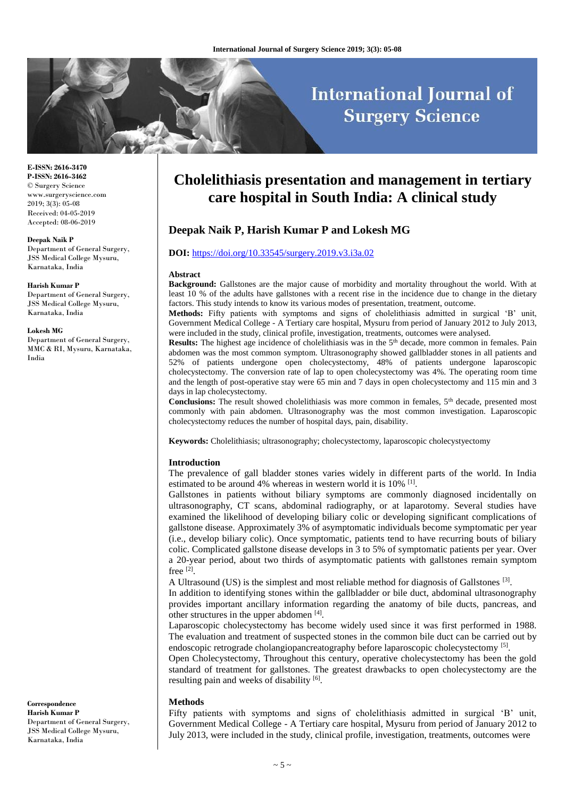# **International Journal of Surgery Science**

**E-ISSN: 2616-3470 P-ISSN: 2616-3462** © Surgery Science www.surgeryscience.com 2019; 3(3): 05-08 Received: 04-05-2019 Accepted: 08-06-2019

#### **Deepak Naik P**

Department of General Surgery, JSS Medical College Mysuru, Karnataka, India

#### **Harish Kumar P**

Department of General Surgery, JSS Medical College Mysuru, Karnataka, India

#### **Lokesh MG**

Department of General Surgery, MMC & RI, Mysuru, Karnataka, India

## **Cholelithiasis presentation and management in tertiary care hospital in South India: A clinical study**

## **Deepak Naik P, Harish Kumar P and Lokesh MG**

#### **DOI:** <https://doi.org/10.33545/surgery.2019.v3.i3a.02>

#### **Abstract**

**Background:** Gallstones are the major cause of morbidity and mortality throughout the world. With at least 10 % of the adults have gallstones with a recent rise in the incidence due to change in the dietary factors. This study intends to know its various modes of presentation, treatment, outcome.

**Methods:** Fifty patients with symptoms and signs of cholelithiasis admitted in surgical 'B' unit, Government Medical College - A Tertiary care hospital, Mysuru from period of January 2012 to July 2013, were included in the study, clinical profile, investigation, treatments, outcomes were analysed.

**Results:** The highest age incidence of cholelithiasis was in the 5<sup>th</sup> decade, more common in females. Pain abdomen was the most common symptom. Ultrasonography showed gallbladder stones in all patients and 52% of patients undergone open cholecystectomy, 48% of patients undergone laparoscopic cholecystectomy. The conversion rate of lap to open cholecystectomy was 4%. The operating room time and the length of post-operative stay were 65 min and 7 days in open cholecystectomy and 115 min and 3 days in lap cholecystectomy.

**Conclusions:** The result showed cholelithiasis was more common in females, 5<sup>th</sup> decade, presented most commonly with pain abdomen. Ultrasonography was the most common investigation. Laparoscopic cholecystectomy reduces the number of hospital days, pain, disability.

**Keywords:** Cholelithiasis; ultrasonography; cholecystectomy, laparoscopic cholecystyectomy

#### **Introduction**

The prevalence of gall bladder stones varies widely in different parts of the world. In India estimated to be around 4% whereas in western world it is 10% <sup>[1]</sup>.

Gallstones in patients without biliary symptoms are commonly diagnosed incidentally on ultrasonography, CT scans, abdominal radiography, or at laparotomy. Several studies have examined the likelihood of developing biliary colic or developing significant complications of gallstone disease. Approximately 3% of asymptomatic individuals become symptomatic per year (i.e., develop biliary colic). Once symptomatic, patients tend to have recurring bouts of biliary colic. Complicated gallstone disease develops in 3 to 5% of symptomatic patients per year. Over a 20-year period, about two thirds of asymptomatic patients with gallstones remain symptom free [2] .

A Ultrasound (US) is the simplest and most reliable method for diagnosis of Gallstones [3].

In addition to identifying stones within the gallbladder or bile duct, abdominal ultrasonography provides important ancillary information regarding the anatomy of bile ducts, pancreas, and other structures in the upper abdomen [4].

Laparoscopic cholecystectomy has become widely used since it was first performed in 1988. The evaluation and treatment of suspected stones in the common bile duct can be carried out by endoscopic retrograde cholangiopancreatography before laparoscopic cholecystectomy [5].

Open Cholecystectomy, Throughout this century, operative cholecystectomy has been the gold standard of treatment for gallstones. The greatest drawbacks to open cholecystectomy are the resulting pain and weeks of disability [6].

#### **Methods**

Fifty patients with symptoms and signs of cholelithiasis admitted in surgical 'B' unit, Government Medical College - A Tertiary care hospital, Mysuru from period of January 2012 to July 2013, were included in the study, clinical profile, investigation, treatments, outcomes were

**Correspondence Harish Kumar P**  Department of General Surgery, JSS Medical College Mysuru, Karnataka, India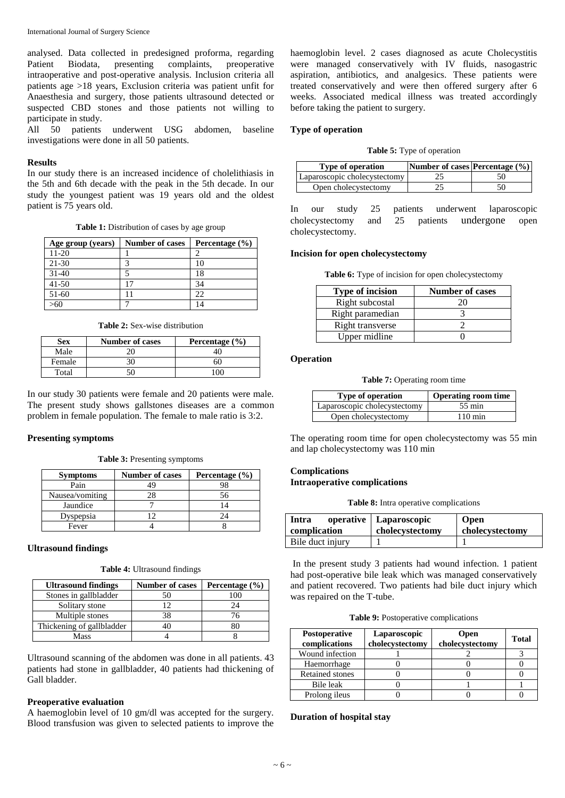International Journal of Surgery Science

analysed. Data collected in predesigned proforma, regarding Patient Biodata, presenting complaints, preoperative intraoperative and post-operative analysis. Inclusion criteria all patients age >18 years, Exclusion criteria was patient unfit for Anaesthesia and surgery, those patients ultrasound detected or suspected CBD stones and those patients not willing to participate in study.

All 50 patients underwent USG abdomen, baseline investigations were done in all 50 patients.

#### **Results**

In our study there is an increased incidence of cholelithiasis in the 5th and 6th decade with the peak in the 5th decade. In our study the youngest patient was 19 years old and the oldest patient is 75 years old.

**Table 1:** Distribution of cases by age group

| Age group (years) | <b>Number of cases</b> | Percentage $(\% )$ |
|-------------------|------------------------|--------------------|
| $11-20$           |                        |                    |
| 21-30             |                        |                    |
| $31-40$           |                        | 18                 |
| $41 - 50$         | $\overline{17}$        | 34                 |
| 51-60             |                        | 22.                |
| 60                |                        |                    |

**Table 2:** Sex-wise distribution

| <b>Sex</b> | <b>Number of cases</b> | Percentage $(\% )$ |
|------------|------------------------|--------------------|
| Male       |                        |                    |
| Female     |                        | 6C                 |
| Total      |                        |                    |

In our study 30 patients were female and 20 patients were male. The present study shows gallstones diseases are a common problem in female population. The female to male ratio is 3:2.

#### **Presenting symptoms**

**Table 3:** Presenting symptoms

| <b>Symptoms</b> | <b>Number of cases</b> | Percentage (%) |
|-----------------|------------------------|----------------|
| Pain            |                        |                |
| Nausea/vomiting |                        | 56             |
| Jaundice        |                        |                |
| Dyspepsia       | ∍                      | 24             |
| Fever           |                        |                |

#### **Ultrasound findings**

|  | Table 4: Ultrasound findings |  |
|--|------------------------------|--|
|--|------------------------------|--|

| <b>Ultrasound findings</b> | <b>Number of cases</b> | Percentage $(\% )$ |
|----------------------------|------------------------|--------------------|
| Stones in gallbladder      | 50                     | $100 -$            |
| Solitary stone             | ר ו                    |                    |
| Multiple stones            | 38                     | 76                 |
| Thickening of gallbladder  |                        |                    |
| Mass                       |                        |                    |

Ultrasound scanning of the abdomen was done in all patients. 43 patients had stone in gallbladder, 40 patients had thickening of Gall bladder.

#### **Preoperative evaluation**

A haemoglobin level of 10 gm/dl was accepted for the surgery. Blood transfusion was given to selected patients to improve the haemoglobin level. 2 cases diagnosed as acute Cholecystitis were managed conservatively with IV fluids, nasogastric aspiration, antibiotics, and analgesics. These patients were treated conservatively and were then offered surgery after 6 weeks. Associated medical illness was treated accordingly before taking the patient to surgery.

#### **Type of operation**

| Table 5: Type of operation |  |  |
|----------------------------|--|--|
|----------------------------|--|--|

| <b>Type of operation</b>     | Number of cases Percentage (%) |  |
|------------------------------|--------------------------------|--|
| Laparoscopic cholecystectomy |                                |  |
| Open cholecystectomy         |                                |  |

In our study 25 patients underwent laparoscopic cholecystectomy and 25 patients undergone open cholecystectomy.

#### **Incision for open cholecystectomy**

Table 6: Type of incision for open cholecystectomy

| <b>Type of incision</b> | <b>Number of cases</b> |
|-------------------------|------------------------|
| Right subcostal         | 20                     |
| Right paramedian        |                        |
| Right transverse        |                        |
| Upper midline           |                        |

#### **Operation**

**Table 7:** Operating room time

| <b>Type of operation</b>     | <b>Operating room time</b> |
|------------------------------|----------------------------|
| Laparoscopic cholecystectomy | 55 min                     |
| Open cholecystectomy         | $110 \,\mathrm{min}$       |

The operating room time for open cholecystectomy was 55 min and lap cholecystectomy was 110 min

## **Complications Intraoperative complications**

**Table 8:** Intra operative complications

| Intra            | operative   Laparoscopic | Open            |
|------------------|--------------------------|-----------------|
| complication     | cholecystectomy          | cholecystectomy |
| Bile duct injury |                          |                 |

In the present study 3 patients had wound infection. 1 patient had post-operative bile leak which was managed conservatively and patient recovered. Two patients had bile duct injury which was repaired on the T-tube.

**Table 9:** Postoperative complications

| <b>Postoperative</b><br>complications | Laparoscopic<br>cholecystectomy | <b>Open</b><br>cholecystectomy | <b>Total</b> |
|---------------------------------------|---------------------------------|--------------------------------|--------------|
| Wound infection                       |                                 |                                |              |
| Haemorrhage                           |                                 |                                |              |
| <b>Retained stones</b>                |                                 |                                |              |
| Bile leak                             |                                 |                                |              |
| Prolong ileus                         |                                 |                                |              |

#### **Duration of hospital stay**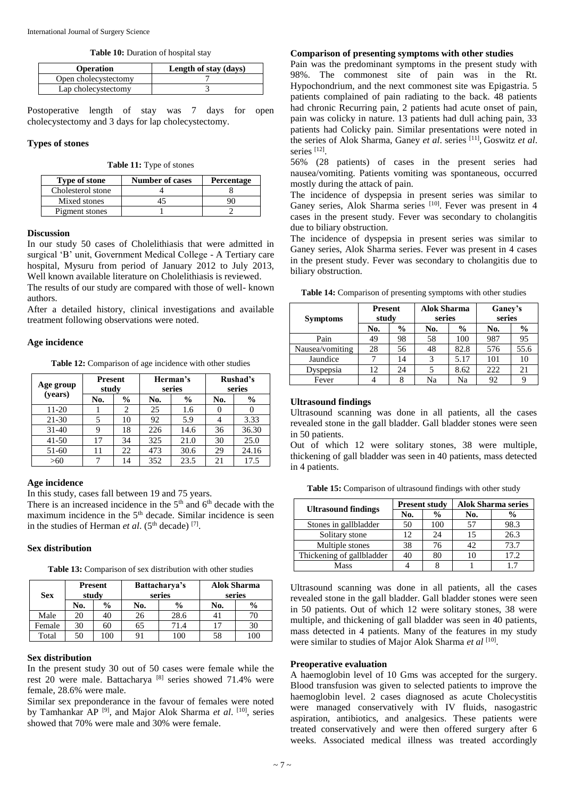Table 10: Duration of hospital stay

| <b>Operation</b>     | Length of stay (days) |
|----------------------|-----------------------|
| Open cholecystectomy |                       |
| Lap cholecystectomy  |                       |

Postoperative length of stay was 7 days for open cholecystectomy and 3 days for lap cholecystectomy.

### **Types of stones**

| Table 11: Type of stones |  |  |  |  |
|--------------------------|--|--|--|--|
|--------------------------|--|--|--|--|

| <b>Type of stone</b> | <b>Number of cases</b> | Percentage |  |
|----------------------|------------------------|------------|--|
| Cholesterol stone    |                        |            |  |
| Mixed stones         |                        |            |  |
| Pigment stones       |                        |            |  |

#### **Discussion**

In our study 50 cases of Cholelithiasis that were admitted in surgical 'B' unit, Government Medical College - A Tertiary care hospital, Mysuru from period of January 2012 to July 2013, Well known available literature on Cholelithiasis is reviewed.

The results of our study are compared with those of well- known authors.

After a detailed history, clinical investigations and available treatment following observations were noted.

#### **Age incidence**

**Table 12:** Comparison of age incidence with other studies

| Age group<br>(years) | <b>Present</b><br>study |               | Herman's<br>series |               | Rushad's<br>series |               |
|----------------------|-------------------------|---------------|--------------------|---------------|--------------------|---------------|
|                      | No.                     | $\frac{0}{0}$ | No.                | $\frac{0}{0}$ | No.                | $\frac{0}{0}$ |
| 11-20                |                         | 2             | 25                 | 1.6           |                    |               |
| 21-30                |                         | 10            | 92                 | 5.9           |                    | 3.33          |
| $31-40$              | 9                       | 18            | 226                | 14.6          | 36                 | 36.30         |
| $41 - 50$            | 17                      | 34            | 325                | 21.0          | 30                 | 25.0          |
| 51-60                | 11                      | 22            | 473                | 30.6          | 29                 | 24.16         |
| >60                  |                         | 14            | 352                | 23.5          | 21                 | 17.5          |

## **Age incidence**

In this study, cases fall between 19 and 75 years.

There is an increased incidence in the  $5<sup>th</sup>$  and  $6<sup>th</sup>$  decade with the maximum incidence in the 5<sup>th</sup> decade. Similar incidence is seen in the studies of Herman *et al.*  $(5<sup>th</sup> decade)$  [7].

#### **Sex distribution**

**Table 13:** Comparison of sex distribution with other studies

| <b>Present</b><br>study<br><b>Sex</b> |     |               | Battacharya's<br>series | <b>Alok Sharma</b><br>series |     |               |
|---------------------------------------|-----|---------------|-------------------------|------------------------------|-----|---------------|
|                                       | No. | $\frac{0}{0}$ | $\frac{0}{0}$<br>No.    |                              | No. | $\frac{6}{9}$ |
| Male                                  | 20  | 40            | 26                      | 28.6                         | 41  |               |
| Female                                | 30  | 60            | 65                      | 71.4                         |     |               |
| Total                                 | 50  | 100           | 91                      | 100                          | 58  | 100           |

#### **Sex distribution**

In the present study 30 out of 50 cases were female while the rest 20 were male. Battacharya [8] series showed 71.4% were female, 28.6% were male.

Similar sex preponderance in the favour of females were noted by Tamhankar AP [9], and Major Alok Sharma *et al*. [10], series showed that 70% were male and 30% were female.

## **Comparison of presenting symptoms with other studies**

Pain was the predominant symptoms in the present study with 98%. The commonest site of pain was in the Rt. Hypochondrium, and the next commonest site was Epigastria. 5 patients complained of pain radiating to the back. 48 patients had chronic Recurring pain, 2 patients had acute onset of pain, pain was colicky in nature. 13 patients had dull aching pain, 33 patients had Colicky pain. Similar presentations were noted in the series of Alok Sharma, Ganey *et al*. series [11] , Goswitz *et al*. series [12].

56% (28 patients) of cases in the present series had nausea/vomiting. Patients vomiting was spontaneous, occurred mostly during the attack of pain.

The incidence of dyspepsia in present series was similar to Ganey series, Alok Sharma series [10]. Fever was present in 4 cases in the present study. Fever was secondary to cholangitis due to biliary obstruction.

The incidence of dyspepsia in present series was similar to Ganey series, Alok Sharma series. Fever was present in 4 cases in the present study. Fever was secondary to cholangitis due to biliary obstruction.

|  | <b>Table 14:</b> Comparison of presenting symptoms with other studies                                                  |  |
|--|------------------------------------------------------------------------------------------------------------------------|--|
|  | $\mathbf{D}_{\text{measured}}$ $\mathbf{A}_{\text{lab}}$ $\mathbf{C}_{\text{heasured}}$ $\mathbf{C}_{\text{measured}}$ |  |

| <b>Symptoms</b> | <b>Present</b><br>study |      | <b>Alok Sharma</b><br>series |               | Ganey's<br>series |      |
|-----------------|-------------------------|------|------------------------------|---------------|-------------------|------|
|                 | No.                     | $\%$ | No.                          | $\frac{0}{0}$ | No.               | $\%$ |
| Pain            | 49                      | 98   | 58                           | 100           | 987               | 95   |
| Nausea/vomiting | 28                      | 56   | 48                           | 82.8          | 576               | 55.6 |
| Jaundice        |                         | 14   | 3                            | 5.17          | 101               | 10   |
| Dyspepsia       | 12                      | 24   |                              | 8.62          | 222               | 21   |
| Fever           |                         |      | Na                           | Na            | 92                |      |

#### **Ultrasound findings**

Ultrasound scanning was done in all patients, all the cases revealed stone in the gall bladder. Gall bladder stones were seen in 50 patients.

Out of which 12 were solitary stones, 38 were multiple, thickening of gall bladder was seen in 40 patients, mass detected in 4 patients.

Table 15: Comparison of ultrasound findings with other study

| <b>Ultrasound findings</b> |     | <b>Present study</b> | <b>Alok Sharma series</b> |               |  |
|----------------------------|-----|----------------------|---------------------------|---------------|--|
|                            | No. | $\frac{0}{0}$        | No.                       | $\frac{6}{9}$ |  |
| Stones in gallbladder      | 50  | 100                  | 57                        | 98.3          |  |
| Solitary stone             | 12  | 24                   | 15                        | 26.3          |  |
| Multiple stones            | 38  | 76                   |                           | 73.7          |  |
| Thickening of gallbladder  |     | 80                   |                           | 17.2          |  |
| Mass                       |     |                      |                           |               |  |

Ultrasound scanning was done in all patients, all the cases revealed stone in the gall bladder. Gall bladder stones were seen in 50 patients. Out of which 12 were solitary stones, 38 were multiple, and thickening of gall bladder was seen in 40 patients, mass detected in 4 patients. Many of the features in my study were similar to studies of Major Alok Sharma et al <sup>[10]</sup>.

#### **Preoperative evaluation**

A haemoglobin level of 10 Gms was accepted for the surgery. Blood transfusion was given to selected patients to improve the haemoglobin level. 2 cases diagnosed as acute Cholecystitis were managed conservatively with IV fluids, nasogastric aspiration, antibiotics, and analgesics. These patients were treated conservatively and were then offered surgery after 6 weeks. Associated medical illness was treated accordingly